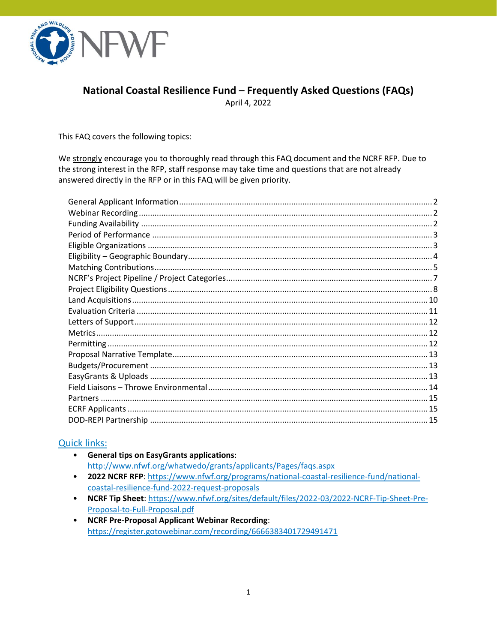

# National Coastal Resilience Fund - Frequently Asked Questions (FAQs)

April 4, 2022

This FAQ covers the following topics:

We strongly encourage you to thoroughly read through this FAQ document and the NCRF RFP. Due to the strong interest in the RFP, staff response may take time and questions that are not already answered directly in the RFP or in this FAQ will be given priority.

### **Quick links:**

- General tips on EasyGrants applications: http://www.nfwf.org/whatwedo/grants/applicants/Pages/faqs.aspx
- 2022 NCRF RFP: https://www.nfwf.org/programs/national-coastal-resilience-fund/nationalcoastal-resilience-fund-2022-request-proposals
- NCRF Tip Sheet: https://www.nfwf.org/sites/default/files/2022-03/2022-NCRF-Tip-Sheet-Pre-Proposal-to-Full-Proposal.pdf
- NCRF Pre-Proposal Applicant Webinar Recording: https://register.gotowebinar.com/recording/6666383401729491471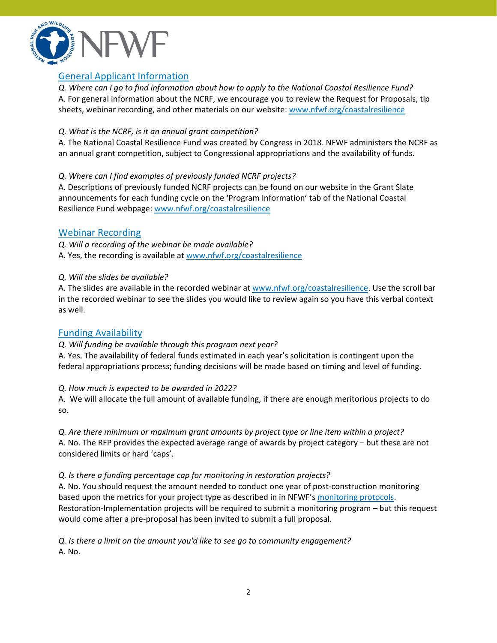

# <span id="page-1-0"></span>General Applicant Information

*Q. Where can I go to find information about how to apply to the National Coastal Resilience Fund?* A. For general information about the NCRF, we encourage you to review the Request for Proposals, tip sheets, webinar recording, and other materials on our website: [www.nfwf.org/coastalresilience](http://www.nfwf.org/coastalresilience) 

#### *Q. What is the NCRF, is it an annual grant competition?*

A. The National Coastal Resilience Fund was created by Congress in 2018. NFWF administers the NCRF as an annual grant competition, subject to Congressional appropriations and the availability of funds.

### *Q. Where can I find examples of previously funded NCRF projects?*

A. Descriptions of previously funded NCRF projects can be found on our website in the Grant Slate announcements for each funding cycle on the 'Program Information' tab of the National Coastal Resilience Fund webpage: [www.nfwf.org/coastalresilience](http://www.nfwf.org/coastalresilience) 

### <span id="page-1-1"></span>Webinar Recording

*Q. Will a recording of the webinar be made available?* A. Yes, the recording is available at [www.nfwf.org/coastalresilience](http://www.nfwf.org/coastalresilience)

#### *Q. Will the slides be available?*

A. The slides are available in the recorded webinar at [www.nfwf.org/coastalresilience.](www.nfwf.org/coastalresilience) Use the scroll bar in the recorded webinar to see the slides you would like to review again so you have this verbal context as well.

### <span id="page-1-2"></span>Funding Availability

#### *Q. Will funding be available through this program next year?*

A. Yes. The availability of federal funds estimated in each year's solicitation is contingent upon the federal appropriations process; funding decisions will be made based on timing and level of funding.

#### *Q. How much is expected to be awarded in 2022?*

A. We will allocate the full amount of available funding, if there are enough meritorious projects to do so.

*Q. Are there minimum or maximum grant amounts by project type or line item within a project?* A. No. The RFP provides the expected average range of awards by project category – but these are not considered limits or hard 'caps'.

#### *Q. Is there a funding percentage cap for monitoring in restoration projects?*

A. No. You should request the amount needed to conduct one year of post-construction monitoring based upon the metrics for your project type as described in in NFWF's [monitoring](https://www.nfwf.org/sites/default/files/2022-02/NCRF%20Monitoring%20Metrics%20and%20Protocols.pdf) protocols. Restoration-Implementation projects will be required to submit a monitoring program – but this request would come after a pre-proposal has been invited to submit a full proposal.

*Q. Is there a limit on the amount you'd like to see go to community engagement?*  A. No.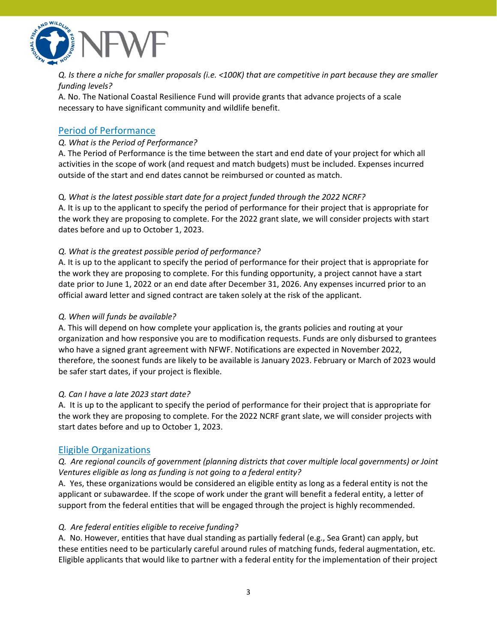

Q. Is there a niche for smaller proposals (i.e. <100K) that are competitive in part because they are smaller *funding levels?*

A. No. The National Coastal Resilience Fund will provide grants that advance projects of a scale necessary to have significant community and wildlife benefit.

# <span id="page-2-0"></span>Period of Performance

### *Q. What is the Period of Performance?*

A. The Period of Performance is the time between the start and end date of your project for which all activities in the scope of work (and request and match budgets) must be included. Expenses incurred outside of the start and end dates cannot be reimbursed or counted as match.

#### Q*. What is the latest possible start date for a project funded through the 2022 NCRF?*

A. It is up to the applicant to specify the period of performance for their project that is appropriate for the work they are proposing to complete. For the 2022 grant slate, we will consider projects with start dates before and up to October 1, 2023.

#### *Q. What is the greatest possible period of performance?*

A. It is up to the applicant to specify the period of performance for their project that is appropriate for the work they are proposing to complete. For this funding opportunity, a project cannot have a start date prior to June 1, 2022 or an end date after December 31, 2026. Any expenses incurred prior to an official award letter and signed contract are taken solely at the risk of the applicant.

#### *Q. When will funds be available?*

A. This will depend on how complete your application is, the grants policies and routing at your organization and how responsive you are to modification requests. Funds are only disbursed to grantees who have a signed grant agreement with NFWF. Notifications are expected in November 2022, therefore, the soonest funds are likely to be available is January 2023. February or March of 2023 would be safer start dates, if your project is flexible.

#### *Q. Can I have a late 2023 start date?*

A. It is up to the applicant to specify the period of performance for their project that is appropriate for the work they are proposing to complete. For the 2022 NCRF grant slate, we will consider projects with start dates before and up to October 1, 2023.

### <span id="page-2-1"></span>Eligible Organizations

### *Q. Are regional councils of government (planning districts that cover multiple local governments) or Joint Ventures eligible as long as funding is not going to a federal entity?*

A. Yes, these organizations would be considered an eligible entity as long as a federal entity is not the applicant or subawardee. If the scope of work under the grant will benefit a federal entity, a letter of support from the federal entities that will be engaged through the project is highly recommended.

#### *Q. Are federal entities eligible to receive funding?*

A. No. However, entities that have dual standing as partially federal (e.g., Sea Grant) can apply, but these entities need to be particularly careful around rules of matching funds, federal augmentation, etc. Eligible applicants that would like to partner with a federal entity for the implementation of their project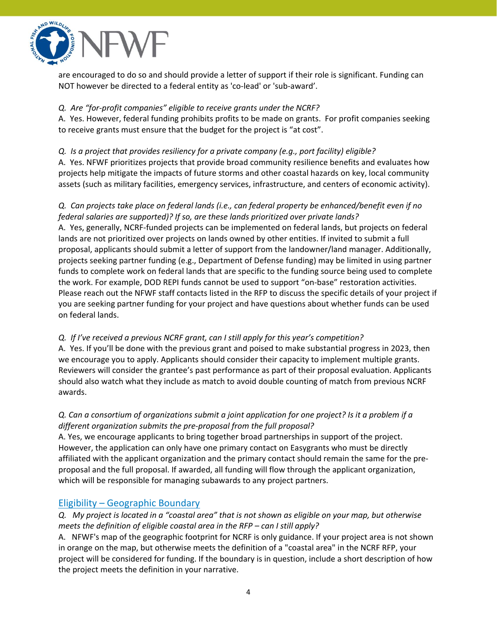

are encouraged to do so and should provide a letter of support if their role is significant. Funding can NOT however be directed to a federal entity as 'co-lead' or 'sub-award'.

### *Q. Are "for-profit companies" eligible to receive grants under the NCRF?*

A. Yes. However, federal funding prohibits profits to be made on grants. For profit companies seeking to receive grants must ensure that the budget for the project is "at cost".

### *Q. Is a project that provides resiliency for a private company (e.g., port facility) eligible?*

A. Yes. NFWF prioritizes projects that provide broad community resilience benefits and evaluates how projects help mitigate the impacts of future storms and other coastal hazards on key, local community assets (such as military facilities, emergency services, infrastructure, and centers of economic activity).

### *Q. Can projects take place on federal lands (i.e., can federal property be enhanced/benefit even if no federal salaries are supported)? If so, are these lands prioritized over private lands?*

A. Yes, generally, NCRF-funded projects can be implemented on federal lands, but projects on federal lands are not prioritized over projects on lands owned by other entities. If invited to submit a full proposal, applicants should submit a letter of support from the landowner/land manager. Additionally, projects seeking partner funding (e.g., Department of Defense funding) may be limited in using partner funds to complete work on federal lands that are specific to the funding source being used to complete the work. For example, DOD REPI funds cannot be used to support "on-base" restoration activities. Please reach out the NFWF staff contacts listed in the RFP to discuss the specific details of your project if you are seeking partner funding for your project and have questions about whether funds can be used on federal lands.

### *Q. If I've received a previous NCRF grant, can I still apply for this year's competition?*

A. Yes. If you'll be done with the previous grant and poised to make substantial progress in 2023, then we encourage you to apply. Applicants should consider their capacity to implement multiple grants. Reviewers will consider the grantee's past performance as part of their proposal evaluation. Applicants should also watch what they include as match to avoid double counting of match from previous NCRF awards.

## Q. Can a consortium of organizations submit a joint application for one project? Is it a problem if a *different organization submits the pre-proposal from the full proposal?*

A. Yes, we encourage applicants to bring together broad partnerships in support of the project. However, the application can only have one primary contact on Easygrants who must be directly affiliated with the applicant organization and the primary contact should remain the same for the preproposal and the full proposal. If awarded, all funding will flow through the applicant organization, which will be responsible for managing subawards to any project partners.

# <span id="page-3-0"></span>Eligibility – Geographic Boundary

## Q. My project is located in a "coastal area" that is not shown as eligible on your map, but otherwise *meets the definition of eligible coastal area in the RFP – can I still apply?*

A. NFWF's map of the geographic footprint for NCRF is only guidance. If your project area is not shown in orange on the map, but otherwise meets the definition of a "coastal area" in the NCRF RFP, your project will be considered for funding. If the boundary is in question, include a short description of how the project meets the definition in your narrative.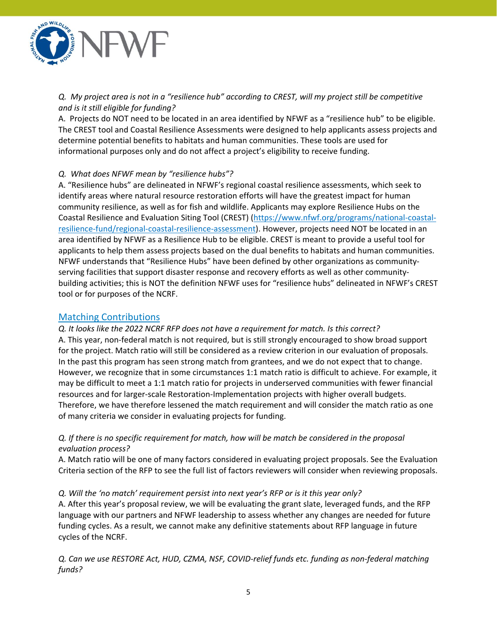

Q. My project area is not in a "resilience hub" according to CREST, will my project still be competitive *and is it still eligible for funding?*

A. Projects do NOT need to be located in an area identified by NFWF as a "resilience hub" to be eligible. The CREST tool and Coastal Resilience Assessments were designed to help applicants assess projects and determine potential benefits to habitats and human communities. These tools are used for informational purposes only and do not affect a project's eligibility to receive funding.

#### *Q. What does NFWF mean by "resilience hubs"?*

A. "Resilience hubs" are delineated in NFWF's regional coastal resilience assessments, which seek to identify areas where natural resource restoration efforts will have the greatest impact for human community resilience, as well as for fish and wildlife. Applicants may explore Resilience Hubs on the Coastal Resilience and Evaluation Siting Tool (CREST) [\(https://www.nfwf.org/programs/national-coastal](https://www.nfwf.org/programs/national-coastal-resilience-fund/regional-coastal-resilience-assessment)[resilience-fund/regional-coastal-resilience-assessment\)](https://www.nfwf.org/programs/national-coastal-resilience-fund/regional-coastal-resilience-assessment). However, projects need NOT be located in an area identified by NFWF as a Resilience Hub to be eligible. CREST is meant to provide a useful tool for applicants to help them assess projects based on the dual benefits to habitats and human communities. NFWF understands that "Resilience Hubs" have been defined by other organizations as communityserving facilities that support disaster response and recovery efforts as well as other communitybuilding activities; this is NOT the definition NFWF uses for "resilience hubs" delineated in NFWF's CREST tool or for purposes of the NCRF.

#### <span id="page-4-0"></span>Matching Contributions

# *Q. It looks like the 2022 NCRF RFP does not have a requirement for match. Is this correct?* A. This year, non-federal match is not required, but is still strongly encouraged to show broad support for the project. Match ratio will still be considered as a review criterion in our evaluation of proposals.

In the past this program has seen strong match from grantees, and we do not expect that to change. However, we recognize that in some circumstances 1:1 match ratio is difficult to achieve. For example, it may be difficult to meet a 1:1 match ratio for projects in underserved communities with fewer financial resources and for larger-scale Restoration-Implementation projects with higher overall budgets. Therefore, we have therefore lessened the match requirement and will consider the match ratio as one of many criteria we consider in evaluating projects for funding.

### *Q. If there is no specific requirement for match, how will be match be considered in the proposal evaluation process?*

A. Match ratio will be one of many factors considered in evaluating project proposals. See the Evaluation Criteria section of the RFP to see the full list of factors reviewers will consider when reviewing proposals.

#### *Q. Will the 'no match' requirement persist into next year's RFP or is it this year only?*

A. After this year's proposal review, we will be evaluating the grant slate, leveraged funds, and the RFP language with our partners and NFWF leadership to assess whether any changes are needed for future funding cycles. As a result, we cannot make any definitive statements about RFP language in future cycles of the NCRF.

*Q. Can we use RESTORE Act, HUD, CZMA, NSF, COVID-relief funds etc. funding as non-federal matching funds?*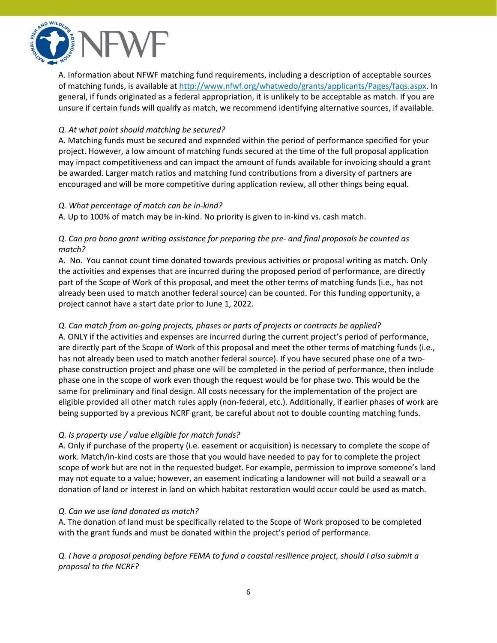

A. Information about NFWF matching fund requirements, including a description of acceptable sources of matching funds, is available at [http://www.nfwf.org/whatwedo/grants/applicants/Pages/faqs.aspx.](http://www.nfwf.org/whatwedo/grants/applicants/Pages/faqs.aspx) In general, if funds originated as a federal appropriation, it is unlikely to be acceptable as match. If you are unsure if certain funds will qualify as match, we recommend identifying alternative sources, if available.

#### *Q. At what point should matching be secured?*

A. Matching funds must be secured and expended within the period of performance specified for your project. However, a low amount of matching funds secured at the time of the full proposal application may impact competitiveness and can impact the amount of funds available for invoicing should a grant be awarded. Larger match ratios and matching fund contributions from a diversity of partners are encouraged and will be more competitive during application review, all other things being equal.

#### *Q. What percentage of match can be in-kind?*

A. Up to 100% of match may be in-kind. No priority is given to in-kind vs. cash match.

### *Q. Can pro bono grant writing assistance for preparing the pre- and final proposals be counted as match?*

A. No. You cannot count time donated towards previous activities or proposal writing as match. Only the activities and expenses that are incurred during the proposed period of performance, are directly part of the Scope of Work of this proposal, and meet the other terms of matching funds (i.e., has not already been used to match another federal source) can be counted. For this funding opportunity, a project cannot have a start date prior to June 1, 2022.

### *Q. Can match from on-going projects, phases or parts of projects or contracts be applied?*

A. ONLY if the activities and expenses are incurred during the current project's period of performance, are directly part of the Scope of Work of this proposal and meet the other terms of matching funds (i.e., has not already been used to match another federal source). If you have secured phase one of a twophase construction project and phase one will be completed in the period of performance, then include phase one in the scope of work even though the request would be for phase two. This would be the same for preliminary and final design. All costs necessary for the implementation of the project are eligible provided all other match rules apply (non-federal, etc.). Additionally, if earlier phases of work are being supported by a previous NCRF grant, be careful about not to double counting matching funds.

### *Q. Is property use / value eligible for match funds?*

A. Only if purchase of the property (i.e. easement or acquisition) is necessary to complete the scope of work. Match/in-kind costs are those that you would have needed to pay for to complete the project scope of work but are not in the requested budget. For example, permission to improve someone's land may not equate to a value; however, an easement indicating a landowner will not build a seawall or a donation of land or interest in land on which habitat restoration would occur could be used as match.

#### *Q. Can we use land donated as match?*

A. The donation of land must be specifically related to the Scope of Work proposed to be completed with the grant funds and must be donated within the project's period of performance.

Q. I have a proposal pending before FEMA to fund a coastal resilience project, should I also submit a *proposal to the NCRF?*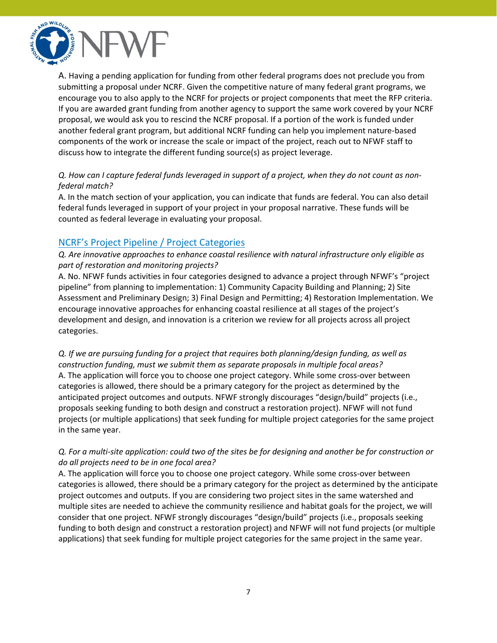

A. Having a pending application for funding from other federal programs does not preclude you from submitting a proposal under NCRF. Given the competitive nature of many federal grant programs, we encourage you to also apply to the NCRF for projects or project components that meet the RFP criteria. If you are awarded grant funding from another agency to support the same work covered by your NCRF proposal, we would ask you to rescind the NCRF proposal. If a portion of the work is funded under another federal grant program, but additional NCRF funding can help you implement nature-based components of the work or increase the scale or impact of the project, reach out to NFWF staff to discuss how to integrate the different funding source(s) as project leverage.

### Q. How can I capture federal funds leveraged in support of a project, when they do not count as non*federal match?*

A. In the match section of your application, you can indicate that funds are federal. You can also detail federal funds leveraged in support of your project in your proposal narrative. These funds will be counted as federal leverage in evaluating your proposal.

# <span id="page-6-0"></span>NCRF's Project Pipeline / Project Categories

*Q. Are innovative approaches to enhance coastal resilience with natural infrastructure only eligible as part of restoration and monitoring projects?*

A. No. NFWF funds activities in four categories designed to advance a project through NFWF's "project pipeline" from planning to implementation: 1) Community Capacity Building and Planning; 2) Site Assessment and Preliminary Design; 3) Final Design and Permitting; 4) Restoration Implementation. We encourage innovative approaches for enhancing coastal resilience at all stages of the project's development and design, and innovation is a criterion we review for all projects across all project categories.

*Q. If we are pursuing funding for a project that requires both planning/design funding, as well as construction funding, must we submit them as separate proposals in multiple focal areas?* A. The application will force you to choose one project category. While some cross-over between categories is allowed, there should be a primary category for the project as determined by the anticipated project outcomes and outputs. NFWF strongly discourages "design/build" projects (i.e., proposals seeking funding to both design and construct a restoration project). NFWF will not fund projects (or multiple applications) that seek funding for multiple project categories for the same project in the same year.

### Q. For a multi-site application: could two of the sites be for designing and another be for construction or *do all projects need to be in one focal area?*

A. The application will force you to choose one project category. While some cross-over between categories is allowed, there should be a primary category for the project as determined by the anticipate project outcomes and outputs. If you are considering two project sites in the same watershed and multiple sites are needed to achieve the community resilience and habitat goals for the project, we will consider that one project. NFWF strongly discourages "design/build" projects (i.e., proposals seeking funding to both design and construct a restoration project) and NFWF will not fund projects (or multiple applications) that seek funding for multiple project categories for the same project in the same year.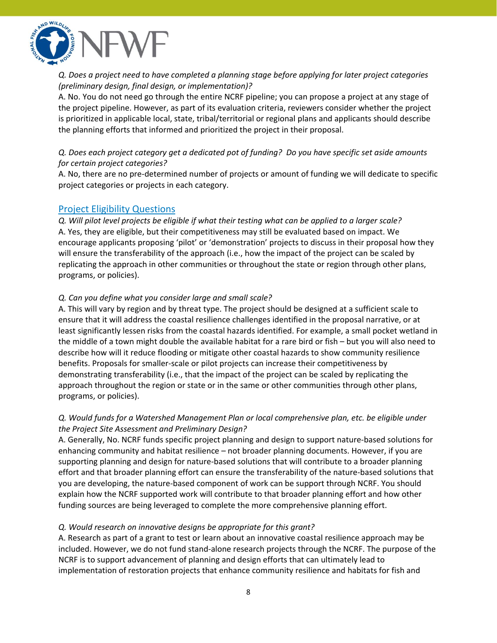

### *Q. Does a project need to have completed a planning stage before applying for later project categories (preliminary design, final design, or implementation)?*

A. No. You do not need go through the entire NCRF pipeline; you can propose a project at any stage of the project pipeline. However, as part of its evaluation criteria, reviewers consider whether the project is prioritized in applicable local, state, tribal/territorial or regional plans and applicants should describe the planning efforts that informed and prioritized the project in their proposal.

### *Q. Does each project category get a dedicated pot of funding? Do you have specific set aside amounts for certain project categories?*

A. No, there are no pre-determined number of projects or amount of funding we will dedicate to specific project categories or projects in each category.

### <span id="page-7-0"></span>Project Eligibility Questions

Q. Will pilot level projects be eligible if what their testing what can be applied to a larger scale? A. Yes, they are eligible, but their competitiveness may still be evaluated based on impact. We encourage applicants proposing 'pilot' or 'demonstration' projects to discuss in their proposal how they will ensure the transferability of the approach (i.e., how the impact of the project can be scaled by replicating the approach in other communities or throughout the state or region through other plans, programs, or policies).

#### *Q. Can you define what you consider large and small scale?*

A. This will vary by region and by threat type. The project should be designed at a sufficient scale to ensure that it will address the coastal resilience challenges identified in the proposal narrative, or at least significantly lessen risks from the coastal hazards identified. For example, a small pocket wetland in the middle of a town might double the available habitat for a rare bird or fish – but you will also need to describe how will it reduce flooding or mitigate other coastal hazards to show community resilience benefits. Proposals for smaller-scale or pilot projects can increase their competitiveness by demonstrating transferability (i.e., that the impact of the project can be scaled by replicating the approach throughout the region or state or in the same or other communities through other plans, programs, or policies).

### *Q. Would funds for a Watershed Management Plan or local comprehensive plan, etc. be eligible under the Project Site Assessment and Preliminary Design?*

A. Generally, No. NCRF funds specific project planning and design to support nature-based solutions for enhancing community and habitat resilience – not broader planning documents. However, if you are supporting planning and design for nature-based solutions that will contribute to a broader planning effort and that broader planning effort can ensure the transferability of the nature-based solutions that you are developing, the nature-based component of work can be support through NCRF. You should explain how the NCRF supported work will contribute to that broader planning effort and how other funding sources are being leveraged to complete the more comprehensive planning effort.

### *Q. Would research on innovative designs be appropriate for this grant?*

A. Research as part of a grant to test or learn about an innovative coastal resilience approach may be included. However, we do not fund stand-alone research projects through the NCRF. The purpose of the NCRF is to support advancement of planning and design efforts that can ultimately lead to implementation of restoration projects that enhance community resilience and habitats for fish and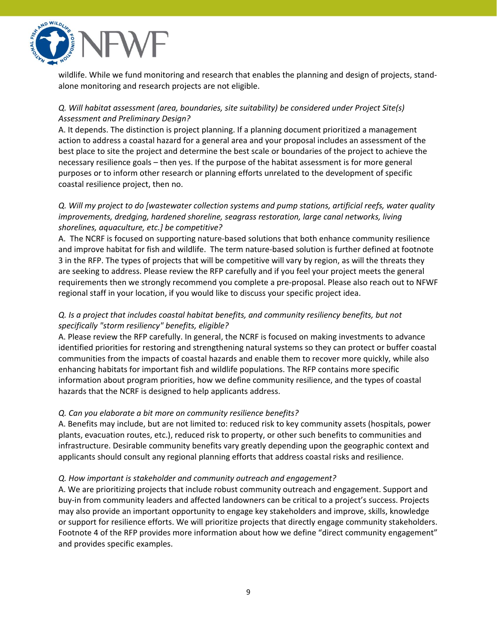

wildlife. While we fund monitoring and research that enables the planning and design of projects, standalone monitoring and research projects are not eligible.

### *Q. Will habitat assessment (area, boundaries, site suitability) be considered under Project Site(s) Assessment and Preliminary Design?*

A. It depends. The distinction is project planning. If a planning document prioritized a management action to address a coastal hazard for a general area and your proposal includes an assessment of the best place to site the project and determine the best scale or boundaries of the project to achieve the necessary resilience goals – then yes. If the purpose of the habitat assessment is for more general purposes or to inform other research or planning efforts unrelated to the development of specific coastal resilience project, then no.

### *Q. Will my project to do [wastewater collection systems and pump stations, artificial reefs, water quality improvements, dredging, hardened shoreline, seagrass restoration, large canal networks, living shorelines, aquaculture, etc.] be competitive?*

A. The NCRF is focused on supporting nature-based solutions that both enhance community resilience and improve habitat for fish and wildlife. The term nature-based solution is further defined at footnote 3 in the RFP. The types of projects that will be competitive will vary by region, as will the threats they are seeking to address. Please review the RFP carefully and if you feel your project meets the general requirements then we strongly recommend you complete a pre-proposal. Please also reach out to NFWF regional staff in your location, if you would like to discuss your specific project idea.

### *Q. Is a project that includes coastal habitat benefits, and community resiliency benefits, but not specifically "storm resiliency" benefits, eligible?*

A. Please review the RFP carefully. In general, the NCRF is focused on making investments to advance identified priorities for restoring and strengthening natural systems so they can protect or buffer coastal communities from the impacts of coastal hazards and enable them to recover more quickly, while also enhancing habitats for important fish and wildlife populations. The RFP contains more specific information about program priorities, how we define community resilience, and the types of coastal hazards that the NCRF is designed to help applicants address.

### *Q. Can you elaborate a bit more on community resilience benefits?*

A. Benefits may include, but are not limited to: reduced risk to key community assets (hospitals, power plants, evacuation routes, etc.), reduced risk to property, or other such benefits to communities and infrastructure. Desirable community benefits vary greatly depending upon the geographic context and applicants should consult any regional planning efforts that address coastal risks and resilience.

#### *Q. How important is stakeholder and community outreach and engagement?*

A. We are prioritizing projects that include robust community outreach and engagement. Support and buy-in from community leaders and affected landowners can be critical to a project's success. Projects may also provide an important opportunity to engage key stakeholders and improve, skills, knowledge or support for resilience efforts. We will prioritize projects that directly engage community stakeholders. Footnote 4 of the RFP provides more information about how we define "direct community engagement" and provides specific examples.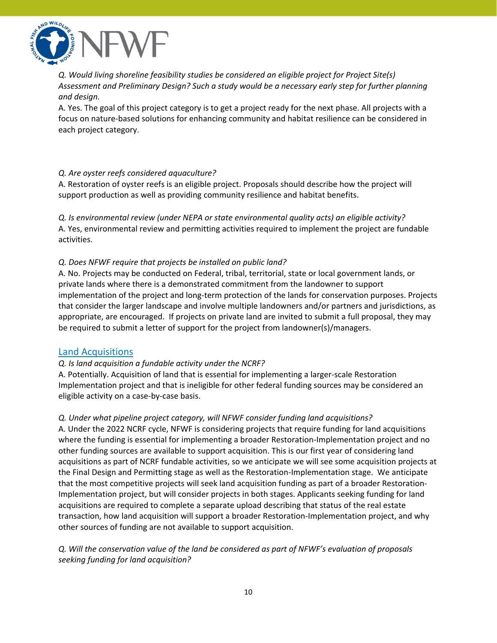

*Q. Would living shoreline feasibility studies be considered an eligible project for Project Site(s) Assessment and Preliminary Design? Such a study would be a necessary early step for further planning and design.*

A. Yes. The goal of this project category is to get a project ready for the next phase. All projects with a focus on nature-based solutions for enhancing community and habitat resilience can be considered in each project category.

#### *Q. Are oyster reefs considered aquaculture?*

A. Restoration of oyster reefs is an eligible project. Proposals should describe how the project will support production as well as providing community resilience and habitat benefits.

*Q. Is environmental review (under NEPA or state environmental quality acts) an eligible activity?* A. Yes, environmental review and permitting activities required to implement the project are fundable activities.

#### *Q. Does NFWF require that projects be installed on public land?*

A. No. Projects may be conducted on Federal, tribal, territorial, state or local government lands, or private lands where there is a demonstrated commitment from the landowner to support implementation of the project and long-term protection of the lands for conservation purposes. Projects that consider the larger landscape and involve multiple landowners and/or partners and jurisdictions, as appropriate, are encouraged. If projects on private land are invited to submit a full proposal, they may be required to submit a letter of support for the project from landowner(s)/managers.

### <span id="page-9-0"></span>Land Acquisitions

#### *Q. Is land acquisition a fundable activity under the NCRF?*

A. Potentially. Acquisition of land that is essential for implementing a larger-scale Restoration Implementation project and that is ineligible for other federal funding sources may be considered an eligible activity on a case-by-case basis.

#### *Q. Under what pipeline project category, will NFWF consider funding land acquisitions?*

A. Under the 2022 NCRF cycle, NFWF is considering projects that require funding for land acquisitions where the funding is essential for implementing a broader Restoration-Implementation project and no other funding sources are available to support acquisition. This is our first year of considering land acquisitions as part of NCRF fundable activities, so we anticipate we will see some acquisition projects at the Final Design and Permitting stage as well as the Restoration-Implementation stage. We anticipate that the most competitive projects will seek land acquisition funding as part of a broader Restoration-Implementation project, but will consider projects in both stages. Applicants seeking funding for land acquisitions are required to complete a separate upload describing that status of the real estate transaction, how land acquisition will support a broader Restoration-Implementation project, and why other sources of funding are not available to support acquisition.

### *Q. Will the conservation value of the land be considered as part of NFWF's evaluation of proposals seeking funding for land acquisition?*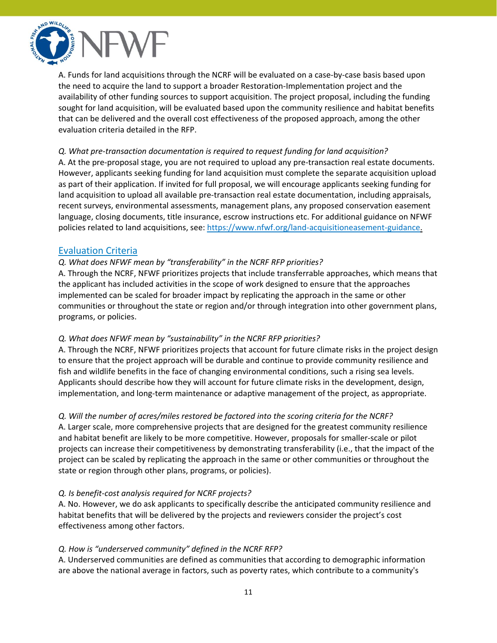

A. Funds for land acquisitions through the NCRF will be evaluated on a case-by-case basis based upon the need to acquire the land to support a broader Restoration-Implementation project and the availability of other funding sources to support acquisition. The project proposal, including the funding sought for land acquisition, will be evaluated based upon the community resilience and habitat benefits that can be delivered and the overall cost effectiveness of the proposed approach, among the other evaluation criteria detailed in the RFP.

#### *Q. What pre-transaction documentation is required to request funding for land acquisition?*

A. At the pre-proposal stage, you are not required to upload any pre-transaction real estate documents. However, applicants seeking funding for land acquisition must complete the separate acquisition upload as part of their application. If invited for full proposal, we will encourage applicants seeking funding for land acquisition to upload all available pre-transaction real estate documentation, including appraisals, recent surveys, environmental assessments, management plans, any proposed conservation easement language, closing documents, title insurance, escrow instructions etc. For additional guidance on NFWF policies related to land acquisitions, see: <https://www.nfwf.org/land-acquisitioneasement-guidance.>

## <span id="page-10-0"></span>Evaluation Criteria

#### *Q. What does NFWF mean by "transferability" in the NCRF RFP priorities?*

A. Through the NCRF, NFWF prioritizes projects that include transferrable approaches, which means that the applicant has included activities in the scope of work designed to ensure that the approaches implemented can be scaled for broader impact by replicating the approach in the same or other communities or throughout the state or region and/or through integration into other government plans, programs, or policies.

#### *Q. What does NFWF mean by "sustainability" in the NCRF RFP priorities?*

A. Through the NCRF, NFWF prioritizes projects that account for future climate risks in the project design to ensure that the project approach will be durable and continue to provide community resilience and fish and wildlife benefits in the face of changing environmental conditions, such a rising sea levels. Applicants should describe how they will account for future climate risks in the development, design, implementation, and long-term maintenance or adaptive management of the project, as appropriate.

#### *Q. Will the number of acres/miles restored be factored into the scoring criteria for the NCRF?*

A. Larger scale, more comprehensive projects that are designed for the greatest community resilience and habitat benefit are likely to be more competitive. However, proposals for smaller-scale or pilot projects can increase their competitiveness by demonstrating transferability (i.e., that the impact of the project can be scaled by replicating the approach in the same or other communities or throughout the state or region through other plans, programs, or policies).

#### *Q. Is benefit-cost analysis required for NCRF projects?*

A. No. However, we do ask applicants to specifically describe the anticipated community resilience and habitat benefits that will be delivered by the projects and reviewers consider the project's cost effectiveness among other factors.

### *Q. How is "underserved community" defined in the NCRF RFP?*

A. Underserved communities are defined as communities that according to demographic information are above the national average in factors, such as poverty rates, which contribute to a community's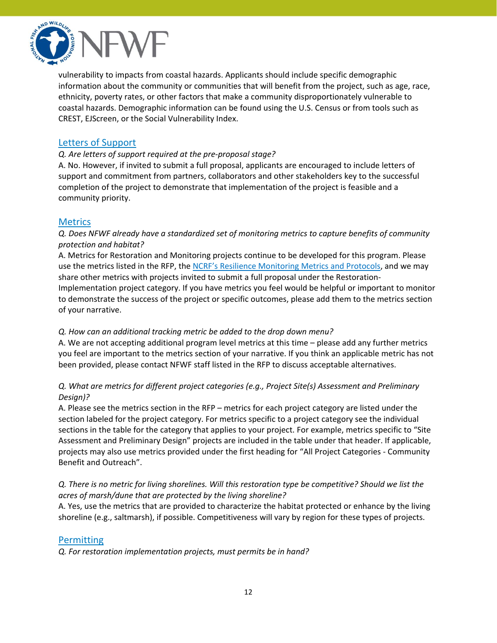

vulnerability to impacts from coastal hazards. Applicants should include specific demographic information about the community or communities that will benefit from the project, such as age, race, ethnicity, poverty rates, or other factors that make a community disproportionately vulnerable to coastal hazards. Demographic information can be found using the U.S. Census or from tools such as CREST, EJScreen, or the Social Vulnerability Index.

# <span id="page-11-0"></span>Letters of Support

#### *Q. Are letters of support required at the pre-proposal stage?*

A. No. However, if invited to submit a full proposal, applicants are encouraged to include letters of support and commitment from partners, collaborators and other stakeholders key to the successful completion of the project to demonstrate that implementation of the project is feasible and a community priority.

### <span id="page-11-1"></span>**Metrics**

*Q. Does NFWF already have a standardized set of monitoring metrics to capture benefits of community protection and habitat?*

A. Metrics for Restoration and Monitoring projects continue to be developed for this program. Please use the metrics listed in the RFP, the NCRF's Resilience [Monitoring](https://www.nfwf.org/sites/default/files/2022-02/NCRF%20Monitoring%20Metrics%20and%20Protocols.pdf) Metrics and Protocols, and we may share other metrics with projects invited to submit a full proposal under the Restoration-Implementation project category. If you have metrics you feel would be helpful or important to monitor to demonstrate the success of the project or specific outcomes, please add them to the metrics section of your narrative.

#### *Q. How can an additional tracking metric be added to the drop down menu?*

A. We are not accepting additional program level metrics at this time – please add any further metrics you feel are important to the metrics section of your narrative. If you think an applicable metric has not been provided, please contact NFWF staff listed in the RFP to discuss acceptable alternatives.

### *Q. What are metrics for different project categories (e.g., Project Site(s) Assessment and Preliminary Design)?*

A. Please see the metrics section in the RFP – metrics for each project category are listed under the section labeled for the project category. For metrics specific to a project category see the individual sections in the table for the category that applies to your project. For example, metrics specific to "Site Assessment and Preliminary Design" projects are included in the table under that header. If applicable, projects may also use metrics provided under the first heading for "All Project Categories - Community Benefit and Outreach".

#### Q. There is no metric for living shorelines. Will this restoration type be competitive? Should we list the *acres of marsh/dune that are protected by the living shoreline?*

A. Yes, use the metrics that are provided to characterize the habitat protected or enhance by the living shoreline (e.g., saltmarsh), if possible. Competitiveness will vary by region for these types of projects.

### <span id="page-11-2"></span>Permitting

*Q. For restoration implementation projects, must permits be in hand?*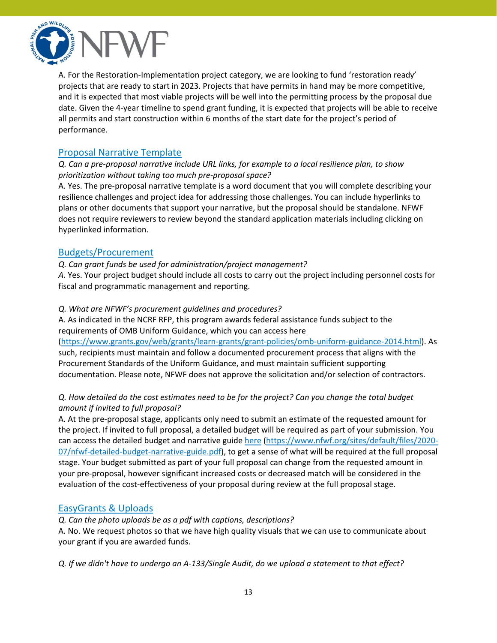

A. For the Restoration-Implementation project category, we are looking to fund 'restoration ready' projects that are ready to start in 2023. Projects that have permits in hand may be more competitive, and it is expected that most viable projects will be well into the permitting process by the proposal due date. Given the 4-year timeline to spend grant funding, it is expected that projects will be able to receive all permits and start construction within 6 months of the start date for the project's period of performance.

# <span id="page-12-0"></span>Proposal Narrative Template

*Q. Can a pre-proposal narrative include URL links, for example to a local resilience plan, to show prioritization without taking too much pre-proposal space?*

A. Yes. The pre-proposal narrative template is a word document that you will complete describing your resilience challenges and project idea for addressing those challenges. You can include hyperlinks to plans or other documents that support your narrative, but the proposal should be standalone. NFWF does not require reviewers to review beyond the standard application materials including clicking on hyperlinked information.

### <span id="page-12-1"></span>Budgets/Procurement

*Q. Can grant funds be used for administration/project management?*

*A.* Yes. Your project budget should include all costs to carry out the project including personnel costs for fiscal and programmatic management and reporting.

#### *Q. What are NFWF's procurement guidelines and procedures?*

A. As indicated in the NCRF RFP, this program awards federal assistance funds subject to the requirements of OMB Uniform Guidance, which you can access [here](https://www.grants.gov/web/grants/learn-grants/grant-policies/omb-uniform-guidance-2014.html)

[\(https://www.grants.gov/web/grants/learn-grants/grant-policies/omb-uniform-guidance-2014.html\)](https://www.grants.gov/web/grants/learn-grants/grant-policies/omb-uniform-guidance-2014.html). As such, recipients must maintain and follow a documented procurement process that aligns with the Procurement Standards of the Uniform Guidance, and must maintain sufficient supporting documentation. Please note, NFWF does not approve the solicitation and/or selection of contractors.

## Q. How detailed do the cost estimates need to be for the project? Can you change the total budget *amount if invited to full proposal?*

A. At the pre-proposal stage, applicants only need to submit an estimate of the requested amount for the project. If invited to full proposal, a detailed budget will be required as part of your submission. You can access the detailed budget and narrative guide [here](https://www.nfwf.org/sites/default/files/2020-07/nfwf-detailed-budget-narrative-guide.pdf) [\(https://www.nfwf.org/sites/default/files/2020-](https://www.nfwf.org/sites/default/files/2020-07/nfwf-detailed-budget-narrative-guide.pdf) [07/nfwf-detailed-budget-narrative-guide.pdf\)](https://www.nfwf.org/sites/default/files/2020-07/nfwf-detailed-budget-narrative-guide.pdf), to get a sense of what will be required at the full proposal stage. Your budget submitted as part of your full proposal can change from the requested amount in your pre-proposal, however significant increased costs or decreased match will be considered in the evaluation of the cost-effectiveness of your proposal during review at the full proposal stage.

# <span id="page-12-2"></span>EasyGrants & Uploads

*Q. Can the photo uploads be as a pdf with captions, descriptions?*

A. No. We request photos so that we have high quality visuals that we can use to communicate about your grant if you are awarded funds.

*Q. If we didn't have to undergo an A-133/Single Audit, do we upload a statement to that effect?*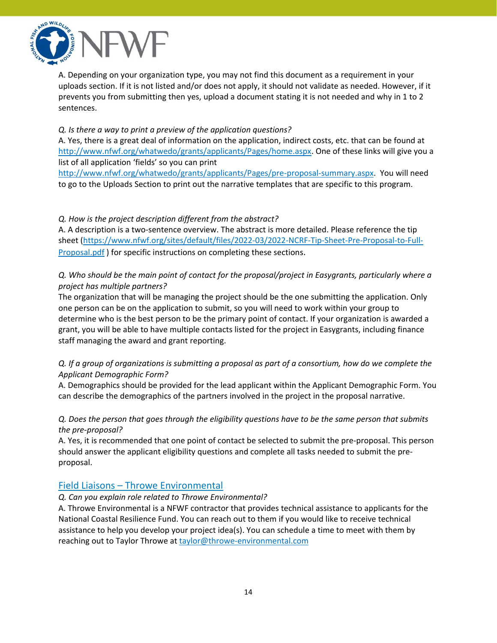

A. Depending on your organization type, you may not find this document as a requirement in your uploads section. If it is not listed and/or does not apply, it should not validate as needed. However, if it prevents you from submitting then yes, upload a document stating it is not needed and why in 1 to 2 sentences.

#### *Q. Is there a way to print a preview of the application questions?*

A. Yes, there is a great deal of information on the application, indirect costs, etc. that can be found at [http://www.nfwf.org/whatwedo/grants/applicants/Pages/home.aspx.](http://www.nfwf.org/whatwedo/grants/applicants/Pages/home.aspx) One of these links will give you a list of all application 'fields' so you can print

[http://www.nfwf.org/whatwedo/grants/applicants/Pages/pre-proposal-summary.aspx.](http://www.nfwf.org/whatwedo/grants/applicants/Pages/pre-proposal-summary.aspx) You will need to go to the Uploads Section to print out the narrative templates that are specific to this program.

### *Q. How is the project description different from the abstract?*

A. A description is a two-sentence overview. The abstract is more detailed. Please reference the tip sheet [\(https://www.nfwf.org/sites/default/files/2022-03/2022-NCRF-Tip-Sheet-Pre-Proposal-to-Full-](https://www.nfwf.org/sites/default/files/2022-03/2022-NCRF-Tip-Sheet-Pre-Proposal-to-Full-Proposal.pdf)[Proposal.pdf](https://www.nfwf.org/sites/default/files/2022-03/2022-NCRF-Tip-Sheet-Pre-Proposal-to-Full-Proposal.pdf) ) for specific instructions on completing these sections.

### *Q. Who should be the main point of contact for the proposal/project in Easygrants, particularly where a project has multiple partners?*

The organization that will be managing the project should be the one submitting the application. Only one person can be on the application to submit, so you will need to work within your group to determine who is the best person to be the primary point of contact. If your organization is awarded a grant, you will be able to have multiple contacts listed for the project in Easygrants, including finance staff managing the award and grant reporting.

### Q. If a group of organizations is submitting a proposal as part of a consortium, how do we complete the *Applicant Demographic Form?*

A. Demographics should be provided for the lead applicant within the Applicant Demographic Form. You can describe the demographics of the partners involved in the project in the proposal narrative.

### Q. Does the person that goes through the eligibility questions have to be the same person that submits *the pre-proposal?*

A. Yes, it is recommended that one point of contact be selected to submit the pre-proposal. This person should answer the applicant eligibility questions and complete all tasks needed to submit the preproposal.

### <span id="page-13-0"></span>Field Liaisons – Throwe Environmental

#### *Q. Can you explain role related to Throwe Environmental?*

A. Throwe Environmental is a NFWF contractor that provides technical assistance to applicants for the National Coastal Resilience Fund. You can reach out to them if you would like to receive technical assistance to help you develop your project idea(s). You can schedule a time to meet with them by reaching out to Taylor Throwe at [taylor@throwe-environmental.com](mailto:taylor@throwe-environmental.com)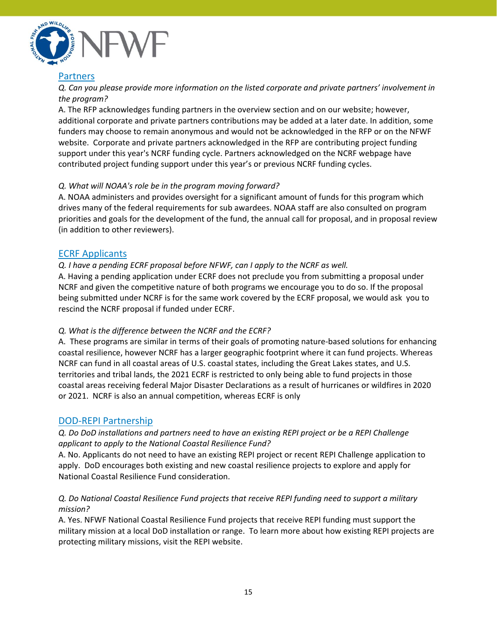

## <span id="page-14-0"></span>**Partners**

*Q. Can you please provide more information on the listed corporate and private partners' involvement in the program?*

A. The RFP acknowledges funding partners in the overview section and on our website; however, additional corporate and private partners contributions may be added at a later date. In addition, some funders may choose to remain anonymous and would not be acknowledged in the RFP or on the NFWF website. Corporate and private partners acknowledged in the RFP are contributing project funding support under this year's NCRF funding cycle. Partners acknowledged on the NCRF webpage have contributed project funding support under this year's or previous NCRF funding cycles.

#### *Q. What will NOAA's role be in the program moving forward?*

A. NOAA administers and provides oversight for a significant amount of funds for this program which drives many of the federal requirements for sub awardees. NOAA staff are also consulted on program priorities and goals for the development of the fund, the annual call for proposal, and in proposal review (in addition to other reviewers).

## <span id="page-14-1"></span>ECRF Applicants

#### *Q. I have a pending ECRF proposal before NFWF, can I apply to the NCRF as well.*

A. Having a pending application under ECRF does not preclude you from submitting a proposal under NCRF and given the competitive nature of both programs we encourage you to do so. If the proposal being submitted under NCRF is for the same work covered by the ECRF proposal, we would ask you to rescind the NCRF proposal if funded under ECRF.

### *Q. What is the difference between the NCRF and the ECRF?*

A. These programs are similar in terms of their goals of promoting nature-based solutions for enhancing coastal resilience, however NCRF has a larger geographic footprint where it can fund projects. Whereas NCRF can fund in all coastal areas of U.S. coastal states, including the Great Lakes states, and U.S. territories and tribal lands, the 2021 ECRF is restricted to only being able to fund projects in those coastal areas receiving federal Major Disaster Declarations as a result of hurricanes or wildfires in 2020 or 2021. NCRF is also an annual competition, whereas ECRF is only

### <span id="page-14-2"></span>DOD-REPI Partnership

### *Q. Do DoD installations and partners need to have an existing REPI project or be a REPI Challenge applicant to apply to the National Coastal Resilience Fund?*

A. No. Applicants do not need to have an existing REPI project or recent REPI Challenge application to apply. DoD encourages both existing and new coastal resilience projects to explore and apply for National Coastal Resilience Fund consideration.

### *Q. Do National Coastal Resilience Fund projects that receive REPI funding need to support a military mission?*

A. Yes. NFWF National Coastal Resilience Fund projects that receive REPI funding must support the military mission at a local DoD installation or range. To learn more about how existing REPI projects are protecting military missions, visit the REPI website.